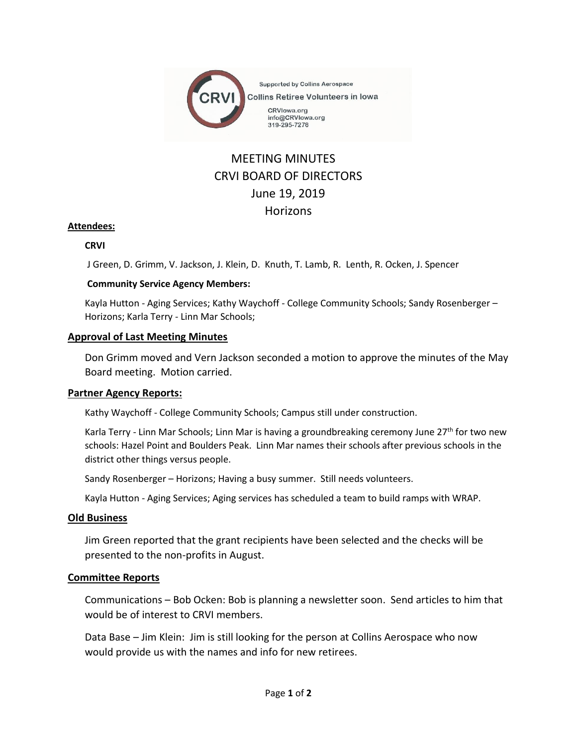

# MEETING MINUTES CRVI BOARD OF DIRECTORS June 19, 2019 **Horizons**

## **Attendees:**

### **CRVI**

J Green, D. Grimm, V. Jackson, J. Klein, D. Knuth, T. Lamb, R. Lenth, R. Ocken, J. Spencer

### **Community Service Agency Members:**

Kayla Hutton - Aging Services; Kathy Waychoff - College Community Schools; Sandy Rosenberger – Horizons; Karla Terry - Linn Mar Schools;

### **Approval of Last Meeting Minutes**

Don Grimm moved and Vern Jackson seconded a motion to approve the minutes of the May Board meeting. Motion carried.

## **Partner Agency Reports:**

Kathy Waychoff - College Community Schools; Campus still under construction.

Karla Terry - Linn Mar Schools; Linn Mar is having a groundbreaking ceremony June 27<sup>th</sup> for two new schools: Hazel Point and Boulders Peak. Linn Mar names their schools after previous schools in the district other things versus people.

Sandy Rosenberger – Horizons; Having a busy summer. Still needs volunteers.

Kayla Hutton - Aging Services; Aging services has scheduled a team to build ramps with WRAP.

### **Old Business**

Jim Green reported that the grant recipients have been selected and the checks will be presented to the non-profits in August.

## **Committee Reports**

Communications – Bob Ocken: Bob is planning a newsletter soon. Send articles to him that would be of interest to CRVI members.

Data Base – Jim Klein: Jim is still looking for the person at Collins Aerospace who now would provide us with the names and info for new retirees.